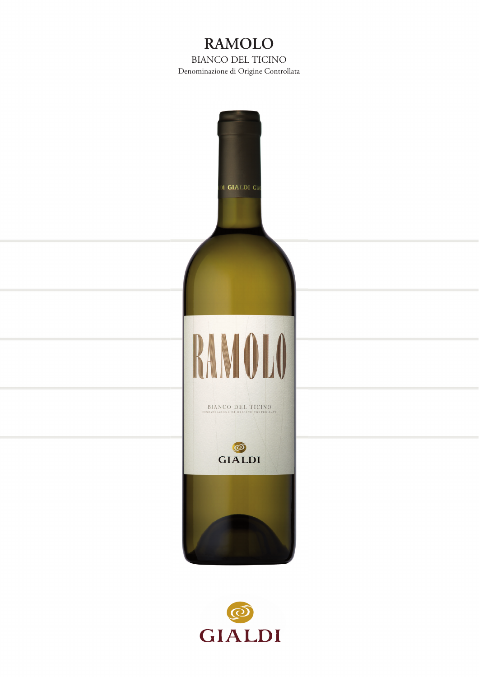# **RAMOLO** BIANCO DEL TICINO Denominazione di Origine Controllata